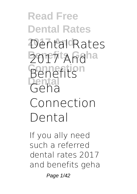**Read Free Dental Rates 2017 And Dental Rates Benefits Geha 2017 And Connection Benefits Dental Geha Connection Dental**

If you ally need such a referred **dental rates 2017 and benefits geha**

Page 1/42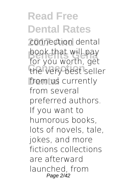**Read Free Dental Rates 2017 And connection dental** book that will pay the very best seller from us currently for you worth, get from several preferred authors. If you want to humorous books, lots of novels, tale, jokes, and more fictions collections are afterward launched, from Page 2/42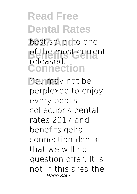## **Read Free Dental Rates** best seller to one of the most current released.

**Connection**

You may not be perplexed to enjoy every books collections dental rates 2017 and benefits geha connection dental that we will no question offer. It is not in this area the Page 3/42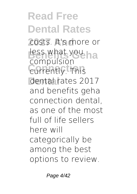**Read Free Dental Rates 2017 And** costs. It's more or less what you ha **Compaision Dental** dental rates 2017 compulsion and benefits geha connection dental, as one of the most full of life sellers here will categorically be among the best options to review.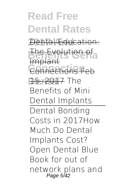**Read Free Dental Rates Dental Education:** The Evolution of<br>Implant **Connections F Dental** 15, 2017 *The* mplan Connections Feb *Benefits of Mini Dental Implants* Dental Bonding Costs in 2017*How Much Do Dental Implants Cost? Open Dental Blue Book for out of network plans and* Page 5/42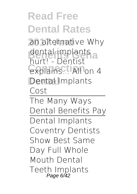**Read Free Dental Rates 2017 And** *an alternative* Why dental implants<br>Burtl Dentist **Connection** explains... **All on 4 Dental Dental Implants** hurt! - Dentist **Cost** The Many Ways Dental Benefits Pay Dental Implants Coventry Dentists Show Best Same Day Full Whole Mouth Dental Teeth Implants Page 6/42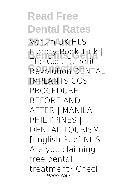**Read Free Dental Rates 2017 And** Verum UK HLS **Benefits Geha** Library Book Talk | **Revolution DENTAL Dental** *IMPLANTS COST* The Cost-Benefit *PROCEDURE BEFORE AND AFTER | MANILA PHILIPPINES | DENTAL TOURISM [English Sub] NHS - Are you claiming free dental treatment? Check* Page 7/42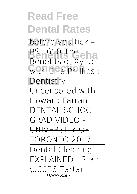**Read Free Dental Rates 2017 And** *before you tick –* **Benefits Geha** *BSL* **610 The WITH EINE PHILIPS : Dentistry Benefits of Xylitol Uncensored with Howard Farran** DENTAL SCHOOL GRAD VIDEO - UNIVERSITY OF TORONTO 2017 Dental Cleaning EXPLAINED | Stain \u0026 Tartar Page 8/42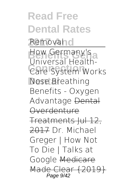**Read Free Dental Rates** Removah<sub>o</sub> How Germany's a **Care System Works Nose Breathing** Universal Health-**Benefits - Oxygen Advantage** Dental **Overdenture** Treatments Jul 12, 2017 *Dr. Michael Greger | How Not To Die | Talks at Google* Medicare Made Clear {2019} Page 9/42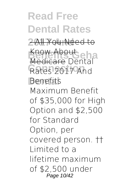**Read Free Dental Rates 2017 And** - All You Need to Know About<br>Medicare Dental Rates 2017 And **Benefits** Medicare Dental Maximum Benefit of \$35,000 for High Option and \$2,500 for Standard Option, per covered person. †† Limited to a lifetime maximum of \$2,500 under Page 10/42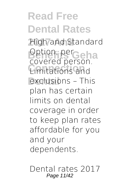**Read Free Dental Rates 2017 And** High and Standard **Dption, perceha Connection** Limitations and exclusions - This covered person. plan has certain limits on dental coverage in order to keep plan rates affordable for you and your dependents.

Dental rates 2017 Page 11/42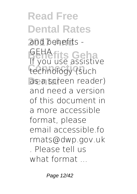**Read Free Dental Rates 2017 And** and benefits - **Benefits Geha** GEHA technology (such as a screen reader) If you use assistive and need a version of this document in a more accessible format, please email accessible.fo rmats@dwp.gov.uk . Please tell us what format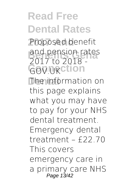**Read Free Dental Rates** Proposed benefit and pension rates GOV.UKCtion **The information on** 2017 to 2018 this page explains what you may have to pay for your NHS dental treatment. Emergency dental treatment – £22.70 This covers emergency care in a primary care NHS Page 13/42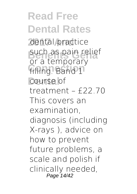**Read Free Dental Rates** dental practice such as pain relief **Filling. Band 1** course of or a temporary treatment – £22.70 This covers an examination, diagnosis (including X-rays ), advice on how to prevent future problems, a scale and polish if clinically needed, Page 14/42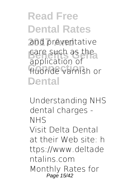**Read Free Dental Rates 2017 And** and preventative care such as the **Connection** fluoride varnish or Dental application of

Understanding NHS dental charges - NHS Visit Delta Dental at their Web site: h ttps://www.deltade ntalins.com Monthly Rates for Page 15/42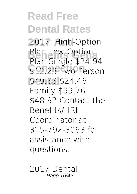**Read Free Dental Rates** 2017: High-Option Plan Low-Option<br>Plan Single \$24.94 \$12.23 Two Person **Dental** \$49.88 \$24.46 Plan Low-Option Family \$99.76 \$48.92 Contact the Benefits/HRI Coordinator at 315-792-3063 for assistance with questions.

2017 Dental Page 16/42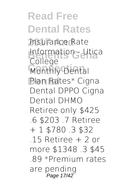**Read Free Dental Rates 2017 And** Insurance Rate **Information - Utica Monthly Dental Dental** Plan Rates\* Cigna College Dental DPPO Cigna Dental DHMO Retiree only \$425 .6 \$203 .7 Retiree + 1 \$780 .3 \$32 .15 Retiree + 2 or more \$1348 .3 \$45 .89 \*Premium rates are pending Page 17/42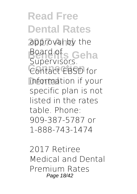**Read Free Dental Rates** approval by the Board of<sub>s</sub> Geha Contact EBSD for information if your Supervisors. specific plan is not listed in the rates table. Phone: 909-387-5787 or 1-888-743-1474

2017 Retiree Medical and Dental Premium Rates Page 18/42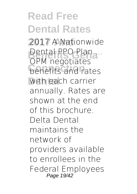**Read Free Dental Rates 2017 And** 2017 A Nationwide **Dental PPO Plan ...**<br>OPM possibiles **benefits and rates** with each carrier OPM negotiates annually. Rates are shown at the end of this brochure. Delta Dental maintains the network of providers available to enrollees in the Federal Employees Page 19/42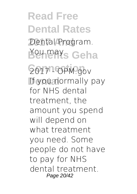**Read Free Dental Rates** Dental Program. **Benefits Geha** You may

**Connection** 2017 - OPM.gov If you normally pay for NHS dental treatment, the amount you spend will depend on what treatment you need. Some people do not have to pay for NHS dental treatment. Page 20/42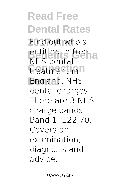**Read Free Dental Rates 2017 And** Find out who's entitled to free<br>NHC depta treatment in<sup>n</sup> **Dental** England. NHS NHS dental dental charges. There are 3 NHS charge bands: Band 1: £22.70. Covers an examination, diagnosis and advice.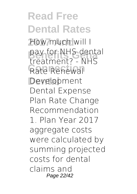**Read Free Dental Rates 2017 And** How much will I pay for NHS dental Rate Renewal Development treatment? - NHS Dental Expense Plan Rate Change Recommendation 1. Plan Year 2017 aggregate costs were calculated by summing projected costs for dental claims and Page 22/42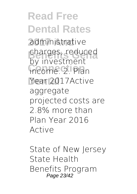**Read Free Dental Rates 2017 And** administrative charges, reduced income. 2. Plan **Dental** Year 2017Active by investment aggregate projected costs are 2.8% more than Plan Year 2016 Active

State of New Jersey State Health Benefits Program Page 23/42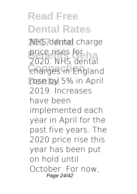**Read Free Dental Rates 2017 And** NHS dental charge **price rises for**<br>2020 NUS deptal **Connection** charges in England rose by 5% in April 2020. NHS dental 2019. Increases have been implemented each year in April for the past five years. The 2020 price rise this year has been put on hold until October. For now, Page 24/42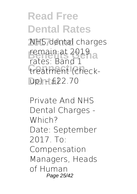## **Read Free Dental Rates**

**2017 And** NHS dental charges remain at 2019<br>Feter Band 1 treatment (check-**Dental** up) – £22.70 rates: Band 1

Private And NHS Dental Charges - Which? Date: September 2017. To: Compensation Managers, Heads of Human Page 25/42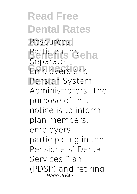**Read Free Dental Rates** Resources, Participating eha Employers and **Pension System** Separate Administrators. The purpose of this notice is to inform plan members, employers participating in the Pensioners' Dental Services Plan (PDSP) and retiring Page 26/42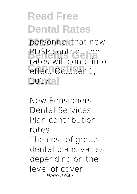## **Read Free Dental Rates**

personnel that new **BUSP CONTIDUTION**<br>
rates will come into effect October 1, **Dental** 2017. PDSP contribution

New Pensioners' Dental Services Plan contribution rates ...

The cost of group dental plans varies depending on the level of cover Page 27/42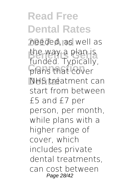**Read Free Dental Rates 2017 And** needed, as well as the way a plan is<br>funded Tunically plans that cover **NHS** treatment can funded. Typically, start from between £5 and £7 per person, per month, while plans with a higher range of cover, which includes private dental treatments, can cost between Page 28/42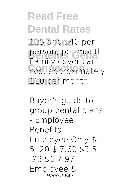**Read Free Dental Rates 2017 And** £25 and £40 per person, per month.<br>Family Gever Cap **Cost approximately £10 per month.** Family cover can

Buyer's guide to group dental plans - Employee Benefits Employee Only \$1 5 .20 \$ 7.60 \$3 5 .93 \$1 7 97 Employee & Page 29/42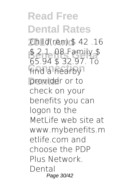**Read Free Dental Rates 2017 And** Child(ren) \$ 42 .16 **Benefits Geha** 65.94 \$ 32.97. To find a nearby provider or to \$ 2 1. 08 Family \$ check on your benefits you can logon to the MetLife web site at www.mybenefits.m etlife.com and choose the PDP Plus Network. Dental Page 30/42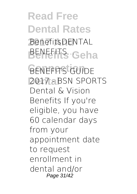**Read Free Dental Rates 2017 And** BenefitsDENTAL BENEFITS Geha **BENEFFTS GUIDE** 2017 - BSN SPORTS Dental & Vision

Benefits If you're eligible, you have 60 calendar days from your appointment date to request enrollment in dental and/or Page 31/42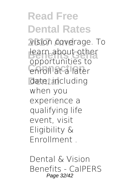**Read Free Dental Rates 2017 And** vision coverage. To learn about other enroll at a later date, including opportunities to when you experience a qualifying life event, visit Eligibility & Enrollment .

Dental & Vision Benefits - CalPERS Page 32/42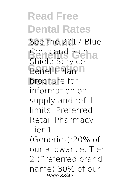**Read Free Dental Rates** See the 2017 Blue **Benefits Geha** Shield Service **Benefit Plan n** brochure for Cross and Blue information on supply and refill limits. Preferred Retail Pharmacy: Tier 1 (Generics):20% of our allowance. Tier 2 (Preferred brand name):30% of our Page 33/42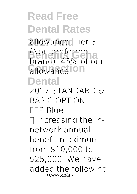**Read Free Dental Rates 2017 And** allowance. Tier 3 (Non-preferred<br>Brand) 4586 af ol allowance.**Ion Dental** brand): 45% of our 2017 STANDARD & BASIC OPTION - FEP Blue  $\Box$  Increasing the innetwork annual benefit maximum from \$10,000 to \$25,000. We have added the following Page 34/42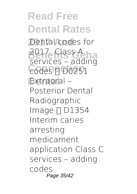**Read Free Dental Rates** Dental codes for 2017: Class A **Codes 1** D0251 Extraoral – services – adding Posterior Dental Radiographic Image  $\Pi$  D1354 Interim caries arresting medicament application Class C services – adding codes Page 35/42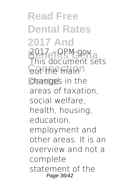**Read Free Dental Rates 2017 And Benefits Geha** 2017 - OPM.gov **Cout the main** changes in the This document sets areas of taxation, social welfare, health, housing, education, employment and other areas. It is an overview and not a complete statement of the Page 36/42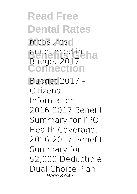**Read Free Dental Rates** measures<sub>o</sub> announced in ha **Connection** Budget 2017.

**Dental** Budget 2017 - Citizens Information 2016-2017 Benefit Summary for PPO Health Coverage; 2016-2017 Benefit Summary for \$2,000 Deductible Dual Choice Plan; Page 37/42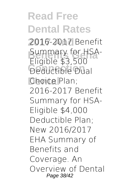**Read Free Dental Rates** 2016-2017 Benefit **Summary for HSA-**<br>Fliable **CO Deductible Dual** Choice Plan; Eligible \$3,500 2016-2017 Benefit Summary for HSA-Eligible \$4,000 Deductible Plan; New 2016/2017 EHA Summary of Benefits and Coverage. An Overview of Dental Page 38/42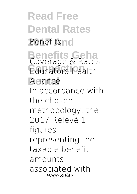**Read Free Dental Rates** *Benefitsno* **Benefits Geha** Coverage & Rates | **Connection** Educators Health Alliance In accordance with the chosen methodology, the 2017 Relevé 1 figures representing the taxable benefit amounts associated with Page 39/42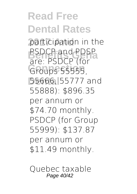**Read Free Dental Rates** participation in the **BEDCP** and PDSP **Connection** Groups 55555, **Dental** 55666, 55777 and are: PSDCP (for 55888): \$896.35 per annum or \$74.70 monthly. PSDCP (for Group 55999): \$137.87 per annum or \$11.49 monthly.

Quebec taxable Page 40/42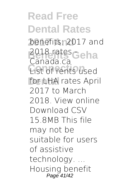**Read Free Dental Rates** benefits: 2017 and 2018 rates Geha List of rents used for LHA rates April Canada.ca 2017 to March 2018. View online Download CSV 15.8MB This file may not be suitable for users of assistive technology. ... Housing benefit Page 41/42